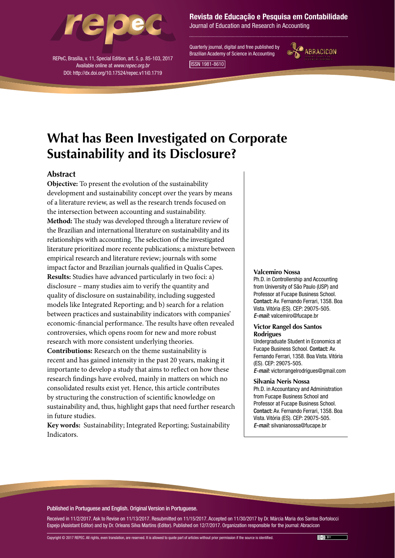

REPeC, Brasília, v. 11, Special Edition, art. 5, p. 85-103, 2017 Available online at *www.repec.org.br* DOI: http://dx.doi.org/10.17524/repec.v11i0.1719

# Revista de Educação e Pesquisa em Contabilidade

Journal of Education and Research in Accounting

Quarterly journal, digital and free published by Brazilian Academy of Science in Accounting



ISSN 1981-8610

# **What has Been Investigated on Corporate Sustainability and its Disclosure?**

# **Abstract**

**Objective:** To present the evolution of the sustainability development and sustainability concept over the years by means of a literature review, as well as the research trends focused on the intersection between accounting and sustainability. **Method:** The study was developed through a literature review of the Brazilian and international literature on sustainability and its relationships with accounting. The selection of the investigated literature prioritized more recente publications; a mixture between empirical research and literature review; journals with some impact factor and Brazilian journals qualified in Qualis Capes. **Results:** Studies have advanced particularly in two foci: a) disclosure – many studies aim to verify the quantity and quality of disclosure on sustainability, including suggested models like Integrated Reporting; and b) search for a relation between practices and sustainability indicators with companies' economic-financial performance. The results have often revealed controversies, which opens room for new and more robust research with more consistent underlying theories.

**Contributions:** Research on the theme sustainability is recent and has gained intensity in the past 20 years, making it importante to develop a study that aims to reflect on how these research findings have evolved, mainly in matters on which no consolidated results exist yet. Hence, this article contributes by structuring the construction of scientific knowledge on sustainability and, thus, highlight gaps that need further research in future studies.

**Key words:** Sustainability; Integrated Reporting; Sustainability Indicators.

### **Valcemiro Nossa**

Ph.D. in Controllership and Accounting from University of São Paulo (USP) and Professor at Fucape Business School. Contact: Av. Fernando Ferrari, 1358. Boa Vista. Vitória (ES). CEP: 29075-505. *E-mail:* valcemiro@fucape.br

## **Victor Rangel dos Santos Rodrigues**

Undergraduate Student in Economics at Fucape Business School. Contact: Av. Fernando Ferrari, 1358. Boa Vista. Vitória (ES). CEP: 29075-505. *E-mail:* victorrangelrodrigues@gmail.com

#### **Silvania Neris Nossa**

Ph.D. in Accountancy and Administration from Fucape Business School and Professor at Fucape Business School. Contact: Av. Fernando Ferrari, 1358. Boa Vista. Vitória (ES). CEP: 29075-505. *E-mail:* silvanianossa@fucape.br

## Published in Portuguese and English. Original Version in Portuguese.

Received in 11/2/2017. Ask to Revise on 11/13/2017. Resubmitted on 11/15/2017. Accepted on 11/30/2017 by Dr. Márcia Maria dos Santos Bortolocci Espejo (Assistant Editor) and by Dr. Orleans Silva Martins (Editor). Published on 12/7/2017. Organization responsible for the journal: Abracicon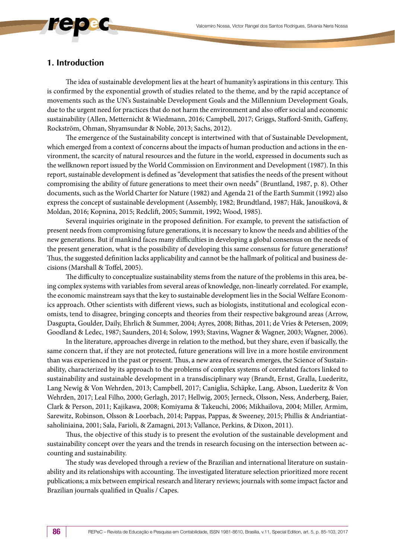# **1. Introduction**

The idea of sustainable development lies at the heart of humanity's aspirations in this century. This is confirmed by the exponential growth of studies related to the theme, and by the rapid acceptance of movements such as the UN's Sustainable Development Goals and the Millennium Development Goals, due to the urgent need for practices that do not harm the environment and also offer social and economic sustainability (Allen, Metternicht & Wiedmann, 2016; Campbell, 2017; Griggs, Stafford-Smith, Gaffeny, Rockström, Ohman, Shyamsundar & Noble, 2013; Sachs, 2012).

The emergence of the Sustainability concept is intertwined with that of Sustainable Development, which emerged from a context of concerns about the impacts of human production and actions in the environment, the scarcity of natural resources and the future in the world, expressed in documents such as the wellknown report issued by the World Commission on Environment and Development (1987). In this report, sustainable development is defined as "development that satisfies the needs of the present without compromising the ability of future generations to meet their own needs" (Bruntland, 1987, p. 8). Other documents, such as the World Charter for Nature (1982) and Agenda 21 of the Earth Summit (1992) also express the concept of sustainable development (Assembly, 1982; Brundtland, 1987; Hák, Janoušková, & Moldan, 2016; Kopnina, 2015; Redclift, 2005; Summit, 1992; Wood, 1985).

Several inquiries originate in the proposed definition. For example, to prevent the satisfaction of present needs from compromising future generations, it is necessary to know the needs and abilities of the new generations. But if mankind faces many difficulties in developing a global consensus on the needs of the present generation, what is the possibility of developing this same consensus for future generations? Thus, the suggested definition lacks applicability and cannot be the hallmark of political and business decisions (Marshall & Toffel, 2005).

The difficulty to conceptualize sustainability stems from the nature of the problems in this area, being complex systems with variables from several areas of knowledge, non-linearly correlated. For example, the economic mainstream says that the key to sustainable development lies in the Social Welfare Economics approach. Other scientists with different views, such as biologists, institutional and ecological economists, tend to disagree, bringing concepts and theories from their respective bakground areas (Arrow, Dasgupta, Goulder, Daily, Ehrlich & Summer, 2004; Ayres, 2008; Bithas, 2011; de Vries & Petersen, 2009; Goodland & Ledec, 1987; Saunders, 2014; Solow, 1993; Stavins, Wagner & Wagner, 2003; Wagner, 2006).

In the literature, approaches diverge in relation to the method, but they share, even if basically, the same concern that, if they are not protected, future generations will live in a more hostile environment than was experienced in the past or present. Thus, a new area of research emerges, the Science of Sustainability, characterized by its approach to the problems of complex systems of correlated factors linked to sustainability and sustainable development in a transdisciplinary way (Brandt, Ernst, Gralla, Luederitz, Lang Newig & Von Wehrden, 2013; Campbell, 2017; Caniglia, Schäpke, Lang, Abson, Luederitz & Von Wehrden, 2017; Leal Filho, 2000; Gerlagh, 2017; Hellwig, 2005; Jerneck, Olsson, Ness, Anderberg, Baier, Clark & Person, 2011; Kajikawa, 2008; Komiyama & Takeuchi, 2006; Mikhailova, 2004; Miller, Armim, Sarewitz, Robinson, Olsson & Loorbach, 2014; Pappas, Pappas, & Sweeney, 2015; Phillis & Andriantiatsaholiniaina, 2001; Sala, Farioli, & Zamagni, 2013; Vallance, Perkins, & Dixon, 2011).

Thus, the objective of this study is to present the evolution of the sustainable development and sustainability concept over the years and the trends in research focusing on the intersection between accounting and sustainability.

The study was developed through a review of the Brazilian and international literature on sustainability and its relationships with accounting. The investigated literature selection prioritized more recent publications; a mix between empirical research and literary reviews; journals with some impact factor and Brazilian journals qualified in Qualis / Capes.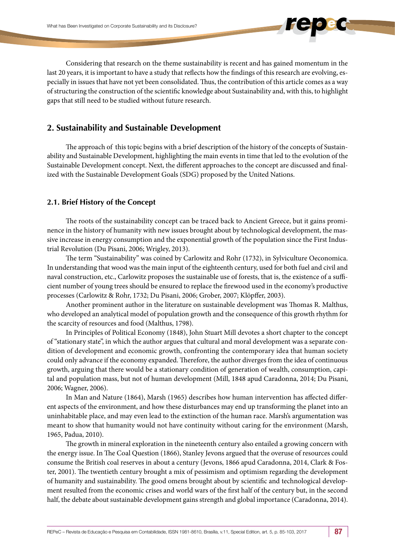Considering that research on the theme sustainability is recent and has gained momentum in the last 20 years, it is important to have a study that reflects how the findings of this research are evolving, especially in issues that have not yet been consolidated. Thus, the contribution of this article comes as a way of structuring the construction of the scientific knowledge about Sustainability and, with this, to highlight gaps that still need to be studied without future research.

# **2. Sustainability and Sustainable Development**

The approach of this topic begins with a brief description of the history of the concepts of Sustainability and Sustainable Development, highlighting the main events in time that led to the evolution of the Sustainable Development concept. Next, the different approaches to the concept are discussed and finalized with the Sustainable Development Goals (SDG) proposed by the United Nations.

# **2.1. Brief History of the Concept**

The roots of the sustainability concept can be traced back to Ancient Greece, but it gains prominence in the history of humanity with new issues brought about by technological development, the massive increase in energy consumption and the exponential growth of the population since the First Industrial Revolution (Du Pisani, 2006; Wrigley, 2013).

The term "Sustainability" was coined by Carlowitz and Rohr (1732), in Sylviculture Oeconomica. In understanding that wood was the main input of the eighteenth century, used for both fuel and civil and naval construction, etc., Carlowitz proposes the sustainable use of forests, that is, the existence of a sufficient number of young trees should be ensured to replace the firewood used in the economy's productive processes (Carlowitz & Rohr, 1732; Du Pisani, 2006; Grober, 2007; Klöpffer, 2003).

Another prominent author in the literature on sustainable development was Thomas R. Malthus, who developed an analytical model of population growth and the consequence of this growth rhythm for the scarcity of resources and food (Malthus, 1798).

In Principles of Political Economy (1848), John Stuart Mill devotes a short chapter to the concept of "stationary state", in which the author argues that cultural and moral development was a separate condition of development and economic growth, confronting the contemporary idea that human society could only advance if the economy expanded. Therefore, the author diverges from the idea of continuous growth, arguing that there would be a stationary condition of generation of wealth, consumption, capital and population mass, but not of human development (Mill, 1848 apud Caradonna, 2014; Du Pisani, 2006; Wagner, 2006).

In Man and Nature (1864), Marsh (1965) describes how human intervention has affected different aspects of the environment, and how these disturbances may end up transforming the planet into an uninhabitable place, and may even lead to the extinction of the human race. Marsh's argumentation was meant to show that humanity would not have continuity without caring for the environment (Marsh, 1965, Padua, 2010).

The growth in mineral exploration in the nineteenth century also entailed a growing concern with the energy issue. In The Coal Question (1866), Stanley Jevons argued that the overuse of resources could consume the British coal reserves in about a century (Jevons, 1866 apud Caradonna, 2014, Clark & Foster, 2001). The twentieth century brought a mix of pessimism and optimism regarding the development of humanity and sustainability. The good omens brought about by scientific and technological development resulted from the economic crises and world wars of the first half of the century but, in the second half, the debate about sustainable development gains strength and global importance (Caradonna, 2014).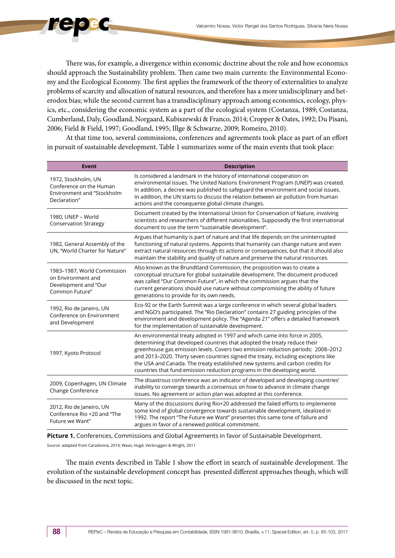There was, for example, a divergence within economic doctrine about the role and how economics should approach the Sustainability problem. Then came two main currents: the Environmental Economy and the Ecological Economy. The first applies the framework of the theory of externalities to analyze problems of scarcity and allocation of natural resources, and therefore has a more unidisciplinary and heterodox bias; while the second current has a transdisciplinary approach among economics, ecology, physics, etc., considering the economic system as a part of the ecological system (Costanza, 1989; Costanza, Cumberland, Daly, Goodland, Norgaard, Kubiszewski & Franco, 2014; Cropper & Oates, 1992; Du Pisani, 2006; Field & Field, 1997; Goodland, 1995; Illge & Schwarze, 2009; Romeiro, 2010).

At that time too, several commissions, conferences and agreements took place as part of an effort in pursuit of sustainable development. Table 1 summarizes some of the main events that took place:

| <b>Event</b>                                                                                 | <b>Description</b>                                                                                                                                                                                                                                                                                                                                                                                                                                                                             |
|----------------------------------------------------------------------------------------------|------------------------------------------------------------------------------------------------------------------------------------------------------------------------------------------------------------------------------------------------------------------------------------------------------------------------------------------------------------------------------------------------------------------------------------------------------------------------------------------------|
| 1972, Stockholm, UN<br>Conference on the Human<br>Environment and "Stockholm<br>Declaration" | Is considered a landmark in the history of international cooperation on<br>environmental issues. The United Nations Environment Program (UNEP) was created.<br>In addition, a decree was published to safeguard the environment and social issues.<br>In addition, the UN starts to discuss the relation between air pollution from human<br>actions and the consequente global climate changes.                                                                                               |
| 1980, UNEP - World<br><b>Conservation Strategy</b>                                           | Document created by the International Union for Conservation of Nature, involving<br>scientists and researchers of different nationalities. Supposedly the first international<br>document to use the term "sustainable development".                                                                                                                                                                                                                                                          |
| 1982, General Assembly of the<br>UN, "World Charter for Nature"                              | Argues that humanity is part of nature and that life depends on the uninterrupted<br>functioning of natural systems. Appoints that humanity can change nature and even<br>extract natural resources through its actions or consequences, but that it should also<br>maintain the stability and quality of nature and preserve the natural resources.                                                                                                                                           |
| 1983-1987, World Commission<br>on Environment and<br>Development and "Our<br>Common Future"  | Also known as the Brundtland Commission, the proposition was to create a<br>conceptual structure for global sustainable development. The document produced<br>was called "Our Common Future", in which the commission argues that the<br>current generations should use nature without compromising the ability of future<br>generations to provide for its own needs.                                                                                                                         |
| 1992, Rio de Janeiro, UN<br>Conference on Environment<br>and Development                     | Eco-92 or the Earth Summit was a large conference in which several global leaders<br>and NGO's participated. The "Rio Declaration" contains 27 guiding principles of the<br>environment and development policy. The "Agenda 21" offers a detailed framework<br>for the implementation of sustainable development.                                                                                                                                                                              |
| 1997, Kyoto Protocol                                                                         | An environmental treaty adopted in 1997 and which came into force in 2005,<br>determining that developed countries that adopted the treaty reduce their<br>greenhouse gas emission levels. Covers two emission reduction periods: 2008-2012<br>and 2013-2020. Thirty seven countries signed the treaty, including exceptions like<br>the USA and Canada. The treaty established new systems and carbon credits for<br>countries that fund emission reduction programs in the developing world. |
| 2009, Copenhagen, UN Climate<br>Change Conference                                            | The disastrous conference was an indicator of developed and developing countries'<br>inability to converge towards a consensus on how to advance in climate change<br>issues. No agreement or action plan was adopted at this conference.                                                                                                                                                                                                                                                      |
| 2012, Rio de Janeiro, UN<br>Conference Rio +20 and "The<br>Future we Want"                   | Many of the discussions during Rio+20 addressed the failed efforts to implemente<br>some kind of global convergence towards sustainable development, idealized in<br>1992. The report "The Future we Want" presentes this same tone of failure and<br>argues in favor of a renewed political commitment.                                                                                                                                                                                       |

**Picture 1.** Conferences, Commissions and Global Agreements in favor of Sustainable Development.

Source: adapted from Caradonna, 2014; Waas, Hugé, Verbruggen & Wright, 2011

The main events described in Table 1 show the effort in search of sustainable development. The evolution of the sustainable development concept has presented different approaches though, which will be discussed in the next topic.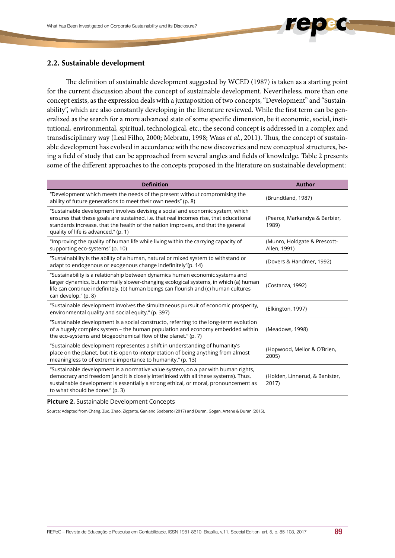

The definition of sustainable development suggested by WCED (1987) is taken as a starting point for the current discussion about the concept of sustainable development. Nevertheless, more than one concept exists, as the expression deals with a juxtaposition of two concepts, "Development" and "Sustainability", which are also constantly developing in the literature reviewed. While the first term can be generalized as the search for a more advanced state of some specific dimension, be it economic, social, institutional, environmental, spiritual, technological, etc.; the second concept is addressed in a complex and transdisciplinary way (Leal Filho, 2000; Mebratu, 1998; Waas *et al*., 2011). Thus, the concept of sustainable development has evolved in accordance with the new discoveries and new conceptual structures, being a field of study that can be approached from several angles and fields of knowledge. Table 2 presents some of the different approaches to the concepts proposed in the literature on sustainable development:

| <b>Definition</b>                                                                                                                                                                                                                                                                                   | <b>Author</b>                                |
|-----------------------------------------------------------------------------------------------------------------------------------------------------------------------------------------------------------------------------------------------------------------------------------------------------|----------------------------------------------|
| "Development which meets the needs of the present without compromising the<br>ability of future generations to meet their own needs" (p. 8)                                                                                                                                                         | (Brundtland, 1987)                           |
| "Sustainable development involves devising a social and economic system, which<br>ensures that these goals are sustained, i.e. that real incomes rise, that educational<br>standards increase, that the health of the nation improves, and that the general<br>quality of life is advanced." (p. 1) | (Pearce, Markandya & Barbier,<br>1989)       |
| "Improving the quality of human life while living within the carrying capacity of<br>supporting eco-systems" (p. 10)                                                                                                                                                                                | (Munro, Holdgate & Prescott-<br>Allen, 1991) |
| "Sustainability is the ability of a human, natural or mixed system to withstand or<br>adapt to endogenous or exogenous change indefinitely"(p. 14)                                                                                                                                                  | (Dovers & Handmer, 1992)                     |
| "Sustainability is a relationship between dynamics human economic systems and<br>larger dynamics, but normally slower-changing ecological systems, in which (a) human<br>life can continue indefinitely, (b) human beings can flourish and (c) human cultures<br>can develop." (p. 8)               | (Costanza, 1992)                             |
| "Sustainable development involves the simultaneous pursuit of economic prosperity,<br>environmental quality and social equity." (p. 397)                                                                                                                                                            | (Elkington, 1997)                            |
| "Sustainable development is a social constructo, referring to the long-term evolution<br>of a hugely complex system - the human population and economy embedded within<br>the eco-systems and biogeochemical flow of the planet." (p. 7)                                                            | (Meadows, 1998)                              |
| "Sustainable development representes a shift in understanding of humanity's<br>place on the planet, but it is open to interpretation of being anything from almost<br>meaningless to of extreme importance to humanity." (p. 13)                                                                    | (Hopwood, Mellor & O'Brien,<br>2005)         |
| "Sustainable development is a normative value system, on a par with human rights,<br>democracy and freedom (and it is closely interlinked with all these systems). Thus,<br>sustainable development is essentially a strong ethical, or moral, pronouncement as<br>to what should be done." (p. 3)  | (Holden, Linnerud, & Banister,<br>2017)      |
|                                                                                                                                                                                                                                                                                                     |                                              |

**Picture 2.** Sustainable Development Concepts

Source: Adapted from Chang, Zuo, Zhao, Ziççante, Gan and Soebarto (2017) and Duran, Gogan, Artene & Duran (2015).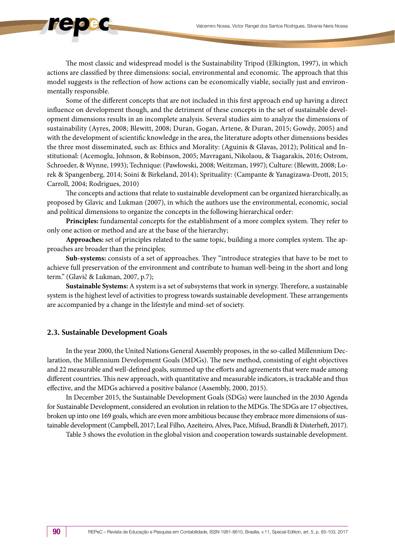The most classic and widespread model is the Sustainability Tripod (Elkington, 1997), in which actions are classified by three dimensions: social, environmental and economic. The approach that this model suggests is the reflection of how actions can be economically viable, socially just and environmentally responsible.

Some of the different concepts that are not included in this first approach end up having a direct influence on development though, and the detriment of these concepts in the set of sustainable development dimensions results in an incomplete analysis. Several studies aim to analyze the dimensions of sustainability (Ayres, 2008; Blewitt, 2008; Duran, Gogan, Artene, & Duran, 2015; Gowdy, 2005) and with the development of scientific knowledge in the area, the literature adopts other dimensions besides the three most disseminated, such as: Ethics and Morality: (Aguinis & Glavas, 2012); Political and Institutional: (Acemoglu, Johnson, & Robinson, 2005; Mavragani, Nikolaou, & Tsagarakis, 2016; Ostrom, Schroeder, & Wynne, 1993); Technique: (Pawłowski, 2008; Weitzman, 1997); Culture: (Blewitt, 2008; Lorek & Spangenberg, 2014; Soini & Birkeland, 2014); Sprituality: (Campante & Yanagizawa-Drott, 2015; Carroll, 2004; Rodrigues, 2010)

The concepts and actions that relate to sustainable development can be organized hierarchically, as proposed by Glavic and Lukman (2007), in which the authors use the environmental, economic, social and political dimensions to organize the concepts in the following hierarchical order:

**Principles:** fundamental concepts for the establishment of a more complex system. They refer to only one action or method and are at the base of the hierarchy;

**Approaches:** set of principles related to the same topic, building a more complex system. The approaches are broader than the principles;

**Sub-systems:** consists of a set of approaches. They "introduce strategies that have to be met to achieve full preservation of the environment and contribute to human well-being in the short and long term." (Glavič & Lukman, 2007, p.7);

**Sustainable Systems:** A system is a set of subsystems that work in synergy. Therefore, a sustainable system is the highest level of activities to progress towards sustainable development. These arrangements are accompanied by a change in the lifestyle and mind-set of society.

## **2.3. Sustainable Development Goals**

In the year 2000, the United Nations General Assembly proposes, in the so-called Millennium Declaration, the Millennium Development Goals (MDGs). The new method, consisting of eight objectives and 22 measurable and well-defined goals, summed up the efforts and agreements that were made among different countries. This new approach, with quantitative and measurable indicators, is trackable and thus effective, and the MDGs achieved a positive balance (Assembly, 2000, 2015).

In December 2015, the Sustainable Development Goals (SDGs) were launched in the 2030 Agenda for Sustainable Development, considered an evolution in relation to the MDGs. The SDGs are 17 objectives, broken up into one 169 goals, which are even more ambitious because they embrace more dimensions of sustainable development (Campbell, 2017; Leal Filho, Azeiteiro, Alves, Pace, Mifsud, Brandli & Disterheft, 2017).

Table 3 shows the evolution in the global vision and cooperation towards sustainable development.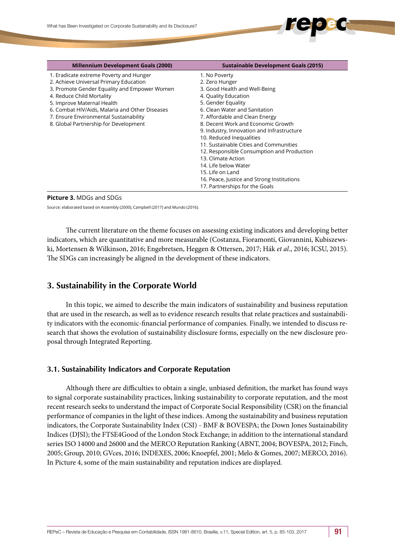| <b>Millennium Development Goals (2000)</b>     | <b>Sustainable Development Goals (2015)</b> |
|------------------------------------------------|---------------------------------------------|
| 1. Eradicate extreme Poverty and Hunger        | 1. No Poverty                               |
| 2. Achieve Universal Primary Education         | 2. Zero Hunger                              |
| 3. Promote Gender Equality and Empower Women   | 3. Good Health and Well-Being               |
| 4. Reduce Child Mortality                      | 4. Quality Education                        |
| 5. Improve Maternal Health                     | 5. Gender Equality                          |
| 6. Combat HIV/Aids, Malaria and Other Diseases | 6. Clean Water and Sanitation               |
| 7. Ensure Environmental Sustainability         | 7. Affordable and Clean Energy              |
| 8. Global Partnership for Development          | 8. Decent Work and Economic Growth          |
|                                                | 9. Industry, Innovation and Infrastructure  |
|                                                | 10. Reduced Inequalities                    |
|                                                | 11. Sustainable Cities and Communities      |
|                                                | 12. Responsible Consumption and Production  |
|                                                | 13. Climate Action                          |
|                                                | 14. Life below Water                        |
|                                                | 15. Life on Land                            |
|                                                | 16. Peace, Justice and Strong Institutions  |
|                                                | 17. Partnerships for the Goals              |

#### **Picture 3.** MDGs and SDGs

Source: elaborated based on Assembly (2000), Campbell (2017) and Mundo (2016).

The current literature on the theme focuses on assessing existing indicators and developing better indicators, which are quantitative and more measurable (Costanza, Fioramonti, Giovannini, Kubiszewski, Mortensen & Wilkinson, 2016; Engebretsen, Heggen & Ottersen, 2017; Hák *et al*., 2016; ICSU, 2015). The SDGs can increasingly be aligned in the development of these indicators.

# **3. Sustainability in the Corporate World**

In this topic, we aimed to describe the main indicators of sustainability and business reputation that are used in the research, as well as to evidence research results that relate practices and sustainability indicators with the economic-financial performance of companies. Finally, we intended to discuss research that shows the evolution of sustainability disclosure forms, especially on the new disclosure proposal through Integrated Reporting.

## **3.1. Sustainability Indicators and Corporate Reputation**

Although there are difficulties to obtain a single, unbiased definition, the market has found ways to signal corporate sustainability practices, linking sustainability to corporate reputation, and the most recent research seeks to understand the impact of Corporate Social Responsibility (CSR) on the financial performance of companies in the light of these indices. Among the sustainability and business reputation indicators, the Corporate Sustainability Index (CSI) - BMF & BOVESPA; the Down Jones Sustainability Indices (DJSI); the FTSE4Good of the London Stock Exchange; in addition to the international standard series ISO 14000 and 26000 and the MERCO Reputation Ranking (ABNT, 2004; BOVESPA, 2012; Finch, 2005; Group, 2010; GVces, 2016; INDEXES, 2006; Knoepfel, 2001; Melo & Gomes, 2007; MERCO, 2016). In Picture 4, some of the main sustainability and reputation indices are displayed.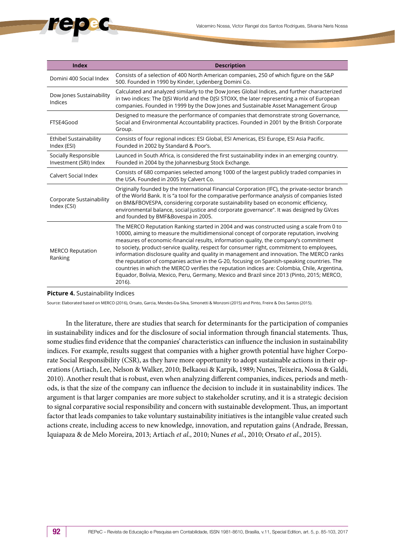| <b>Index</b>                                   | <b>Description</b>                                                                                                                                                                                                                                                                                                                                                                                                                                                                                                                                                                                                                                                                                                                                                             |
|------------------------------------------------|--------------------------------------------------------------------------------------------------------------------------------------------------------------------------------------------------------------------------------------------------------------------------------------------------------------------------------------------------------------------------------------------------------------------------------------------------------------------------------------------------------------------------------------------------------------------------------------------------------------------------------------------------------------------------------------------------------------------------------------------------------------------------------|
| Domini 400 Social Index                        | Consists of a selection of 400 North American companies, 250 of which figure on the S&P<br>500. Founded in 1990 by Kinder, Lydenberg Domini Co.                                                                                                                                                                                                                                                                                                                                                                                                                                                                                                                                                                                                                                |
| Dow Jones Sustainability<br>Indices            | Calculated and analyzed similarly to the Dow Jones Global Indices, and further characterized<br>in two indices: The DJSI World and the DJSI STOXX, the later representing a mix of European<br>companies. Founded in 1999 by the Dow Jones and Sustainable Asset Management Group                                                                                                                                                                                                                                                                                                                                                                                                                                                                                              |
| FTSE4Good                                      | Designed to measure the performance of companies that demonstrate strong Governance,<br>Social and Environmental Accountability practices. Founded in 2001 by the British Corporate<br>Group.                                                                                                                                                                                                                                                                                                                                                                                                                                                                                                                                                                                  |
| Ethibel Sustainability<br>Index (ESI)          | Consists of four regional indices: ESI Global, ESI Americas, ESI Europe, ESI Asia Pacific.<br>Founded in 2002 by Standard & Poor's.                                                                                                                                                                                                                                                                                                                                                                                                                                                                                                                                                                                                                                            |
| Socially Responsible<br>Investment (SRI) Index | Launced in South Africa, is considered the first sustainability index in an emerging country.<br>Founded in 2004 by the Johannesburg Stock Exchange.                                                                                                                                                                                                                                                                                                                                                                                                                                                                                                                                                                                                                           |
| Calvert Social Index                           | Consists of 680 companies selected among 1000 of the largest publicly traded companies in<br>the USA. Founded in 2005 by Calvert Co.                                                                                                                                                                                                                                                                                                                                                                                                                                                                                                                                                                                                                                           |
| Corporate Sustainability<br>Index (CSI)        | Originally founded by the International Financial Corporation (IFC), the private-sector branch<br>of the World Bank. It is "a tool for the comparative performance analysis of companies listed<br>on BM&FBOVESPA, considering corporate sustainability based on economic efficiency,<br>environmental balance, social justice and corporate governance". It was designed by GVces<br>and founded by BMF&Bovespa in 2005.                                                                                                                                                                                                                                                                                                                                                      |
| <b>MERCO Reputation</b><br>Ranking             | The MERCO Reputation Ranking started in 2004 and was constructed using a scale from 0 to<br>10000, aiming to measure the multidimensional concept of corporate reputation, involving<br>measures of economic-financial results, information quality, the company's commitment<br>to society, product-service quality, respect for consumer right, commitment to employees,<br>information disclosure quality and quality in management and innovation. The MERCO ranks<br>the reputation of companies active in the G-20, focusing on Spanish-speaking countries. The<br>countries in which the MERCO verifies the reputation indices are: Colombia, Chile, Argentina,<br>Equador, Bolivia, Mexico, Peru, Germany, Mexico and Brazil since 2013 (Pinto, 2015; MERCO,<br>2016). |

### **Picture 4.** Sustainability Indices

Source: Elaborated based on MERCO (2016), Orsato, Garcia, Mendes-Da-Silva, Simonetti & Monzoni (2015) and Pinto, Freire & Dos Santos (2015).

In the literature, there are studies that search for determinants for the participation of companies in sustainability indices and for the disclosure of social information through financial statements. Thus, some studies find evidence that the companies' characteristics can influence the inclusion in sustainability indices. For example, results suggest that companies with a higher growth potential have higher Corporate Social Responsibility (CSR), as they have more opportunity to adopt sustainable actions in their operations (Artiach, Lee, Nelson & Walker, 2010; Belkaoui & Karpik, 1989; Nunes, Teixeira, Nossa & Galdi, 2010). Another result that is robust, even when analyzing different companies, indices, periods and methods, is that the size of the company can influence the decision to include it in sustainability indices. The argument is that larger companies are more subject to stakeholder scrutiny, and it is a strategic decision to signal corparative social responsibility and concern with sustainable development. Thus, an important factor that leads companies to take voluntary sustainability initiatives is the intangible value created such actions create, including access to new knowledge, innovation, and reputation gains (Andrade, Bressan, Iquiapaza & de Melo Moreira, 2013; Artiach *et al*., 2010; Nunes *et al*., 2010; Orsato *et al*., 2015).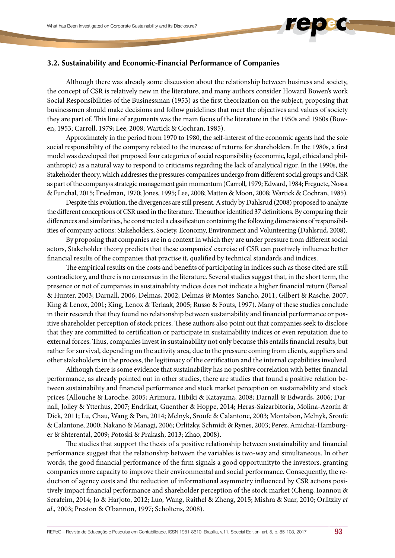

## **3.2. Sustainability and Economic-Financial Performance of Companies**

Although there was already some discussion about the relationship between business and society, the concept of CSR is relatively new in the literature, and many authors consider Howard Bowen's work Social Responsibilities of the Businessman (1953) as the first theorization on the subject, proposing that businessmen should make decisions and follow guidelines that meet the objectives and values of society they are part of. This line of arguments was the main focus of the literature in the 1950s and 1960s (Bowen, 1953; Carroll, 1979; Lee, 2008; Wartick & Cochran, 1985).

Approximately in the period from 1970 to 1980, the self-interest of the economic agents had the sole social responsibility of the company related to the increase of returns for shareholders. In the 1980s, a first model was developed that proposed four categories of social responsibility (economic, legal, ethical and philanthropic) as a natural way to respond to criticisms regarding the lack of analytical rigor. In the 1990s, the Stakeholder theory, which addresses the pressures companiees undergo from different social groups and CSR as part of the company›s strategic management gain momentum (Carroll, 1979; Edward, 1984; Freguete, Nossa & Funchal, 2015; Friedman, 1970; Jones, 1995; Lee, 2008; Matten & Moon, 2008; Wartick & Cochran, 1985).

Despite this evolution, the divergences are still present. A study by Dahlsrud (2008) proposed to analyze the different conceptions of CSR used in the literature. The author identified 37 definitions. By comparing their differences and similarities, he constructed a classification containing the following dimensions of responsibilities of company actions: Stakeholders, Society, Economy, Environment and Volunteering (Dahlsrud, 2008).

By proposing that companies are in a context in which they are under pressure from different social actors, Stakeholder theory predicts that these companies' exercise of CSR can positively influence better financial results of the companies that practise it, qualified by technical standards and indices.

The empirical results on the costs and benefits of participating in indices such as those cited are still contradictory, and there is no consensus in the literature. Several studies suggest that, in the short term, the presence or not of companies in sustainability indices does not indicate a higher financial return (Bansal & Hunter, 2003; Darnall, 2006; Delmas, 2002; Delmas & Montes-Sancho, 2011; Gilbert & Rasche, 2007; King & Lenox, 2001; King, Lenox & Terlaak, 2005; Russo & Fouts, 1997). Many of these studies conclude in their research that they found no relationship between sustainability and financial performance or positive shareholder perception of stock prices. These authors also point out that companies seek to disclose that they are committed to certification or participate in sustainability indices or even reputation due to external forces. Thus, companies invest in sustainability not only because this entails financial results, but rather for survival, depending on the activity area, due to the pressure coming from clients, suppliers and other stakeholders in the process, the legitimacy of the certification and the internal capabilities involved.

Although there is some evidence that sustainability has no positive correlation with better financial performance, as already pointed out in other studies, there are studies that found a positive relation between sustainability and financial performance and stock market perception on sustainability and stock prices (Allouche & Laroche, 2005; Arimura, Hibiki & Katayama, 2008; Darnall & Edwards, 2006; Darnall, Jolley & Ytterhus, 2007; Endrikat, Guenther & Hoppe, 2014; Heras-Saizarbitoria, Molina-Azorín & Dick, 2011; Lu, Chau, Wang & Pan, 2014; Melnyk, Sroufe & Calantone, 2003; Montabon, Melnyk, Sroufe & Calantone, 2000; Nakano & Managi, 2006; Orlitzky, Schmidt & Rynes, 2003; Perez, Amichai‐Hamburger & Shterental, 2009; Potoski & Prakash, 2013; Zhao, 2008).

The studies that support the thesis of a positive relationship between sustainability and financial performance suggest that the relationship between the variables is two-way and simultaneous. In other words, the good financial performance of the firm signals a good opportunityto the investors, granting companies more capacity to improve their environmental and social performance. Consequently, the reduction of agency costs and the reduction of informational asymmetry influenced by CSR actions positively impact financial performance and shareholder perception of the stock market (Cheng, Ioannou & Serafeim, 2014; Jo & Harjoto, 2012; Luo, Wang, Raithel & Zheng, 2015; Mishra & Suar, 2010; Orlitzky *et al*., 2003; Preston & O'bannon, 1997; Scholtens, 2008).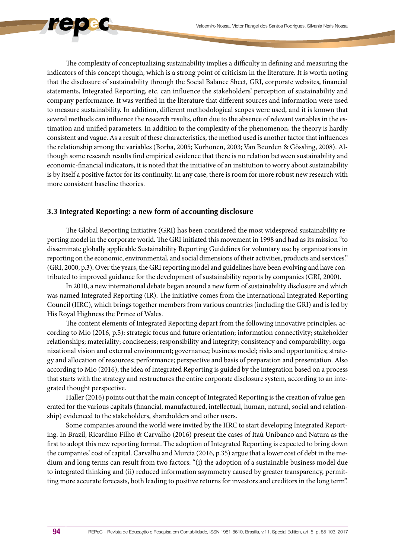The complexity of conceptualizing sustainability implies a difficulty in defining and measuring the indicators of this concept though, which is a strong point of criticism in the literature. It is worth noting that the disclosure of sustainability through the Social Balance Sheet, GRI, corporate websites, financial statements, Integrated Reporting, etc. can influence the stakeholders' perception of sustainability and company performance. It was verified in the literature that different sources and information were used to measure sustainability. In addition, different methodological scopes were used, and it is known that several methods can influence the research results, often due to the absence of relevant variables in the estimation and unified parameters. In addition to the complexity of the phenomenon, the theory is hardly consistent and vague. As a result of these characteristics, the method used is another factor that influences the relationship among the variables (Borba, 2005; Korhonen, 2003; Van Beurden & Gössling, 2008). Although some research results find empirical evidence that there is no relation between sustainability and economic-financial indicators, it is noted that the initiative of an institution to worry about sustainability is by itself a positive factor for its continuity. In any case, there is room for more robust new research with more consistent baseline theories.

## **3.3 Integrated Reporting: a new form of accounting disclosure**

The Global Reporting Initiative (GRI) has been considered the most widespread sustainability reporting model in the corporate world. The GRI initiated this movement in 1998 and had as its mission "to disseminate globally applicable Sustainability Reporting Guidelines for voluntary use by organizations in reporting on the economic, environmental, and social dimensions of their activities, products and services." (GRI, 2000, p.3). Over the years, the GRI reporting model and guidelines have been evolving and have contributed to improved guidance for the development of sustainability reports by companies (GRI, 2000).

In 2010, a new international debate began around a new form of sustainability disclosure and which was named Integrated Reporting (IR). The initiative comes from the International Integrated Reporting Council (IIRC), which brings together members from various countries (including the GRI) and is led by His Royal Highness the Prince of Wales.

The content elements of Integrated Reporting depart from the following innovative principles, according to Mio (2016, p.5): strategic focus and future orientation; information connectivity; stakeholder relationships; materiality; conciseness; responsibility and integrity; consistency and comparability; organizational vision and external environment; governance; business model; risks and opportunities; strategy and allocation of resources; performance; perspective and basis of preparation and presentation. Also according to Mio (2016), the idea of Integrated Reporting is guided by the integration based on a process that starts with the strategy and restructures the entire corporate disclosure system, according to an integrated thought perspective.

Haller (2016) points out that the main concept of Integrated Reporting is the creation of value generated for the various capitals (financial, manufactured, intellectual, human, natural, social and relationship) evidenced to the stakeholders, shareholders and other users.

Some companies around the world were invited by the IIRC to start developing Integrated Reporting. In Brazil, Ricardino Filho & Carvalho (2016) present the cases of Itaú Unibanco and Natura as the first to adopt this new reporting format. The adoption of Integrated Reporting is expected to bring down the companies' cost of capital. Carvalho and Murcia (2016, p.35) argue that a lower cost of debt in the medium and long terms can result from two factors: "(i) the adoption of a sustainable business model due to integrated thinking and (ii) reduced information asymmetry caused by greater transparency, permitting more accurate forecasts, both leading to positive returns for investors and creditors in the long term".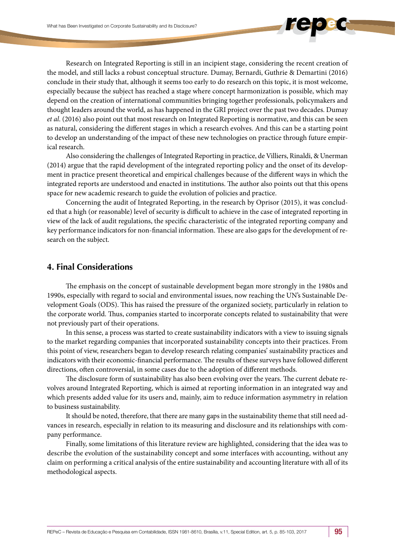Research on Integrated Reporting is still in an incipient stage, considering the recent creation of the model, and still lacks a robust conceptual structure. Dumay, Bernardi, Guthrie & Demartini (2016) conclude in their study that, although it seems too early to do research on this topic, it is most welcome, especially because the subject has reached a stage where concept harmonization is possible, which may depend on the creation of international communities bringing together professionals, policymakers and thought leaders around the world, as has happened in the GRI project over the past two decades. Dumay *et al*. (2016) also point out that most research on Integrated Reporting is normative, and this can be seen as natural, considering the different stages in which a research evolves. And this can be a starting point to develop an understanding of the impact of these new technologies on practice through future empirical research.

Also considering the challenges of Integrated Reporting in practice, de Villiers, Rinaldi, & Unerman (2014) argue that the rapid development of the integrated reporting policy and the onset of its development in practice present theoretical and empirical challenges because of the different ways in which the integrated reports are understood and enacted in institutions. The author also points out that this opens space for new academic research to guide the evolution of policies and practice.

Concerning the audit of Integrated Reporting, in the research by Oprisor (2015), it was concluded that a high (or reasonable) level of security is difficult to achieve in the case of integrated reporting in view of the lack of audit regulations, the specific characteristic of the integrated reporting company and key performance indicators for non-financial information. These are also gaps for the development of research on the subject.

# **4. Final Considerations**

The emphasis on the concept of sustainable development began more strongly in the 1980s and 1990s, especially with regard to social and environmental issues, now reaching the UN's Sustainable Development Goals (ODS). This has raised the pressure of the organized society, particularly in relation to the corporate world. Thus, companies started to incorporate concepts related to sustainability that were not previously part of their operations.

In this sense, a process was started to create sustainability indicators with a view to issuing signals to the market regarding companies that incorporated sustainability concepts into their practices. From this point of view, researchers began to develop research relating companies' sustainability practices and indicators with their economic-financial performance. The results of these surveys have followed different directions, often controversial, in some cases due to the adoption of different methods.

The disclosure form of sustainability has also been evolving over the years. The current debate revolves around Integrated Reporting, which is aimed at reporting information in an integrated way and which presents added value for its users and, mainly, aim to reduce information asymmetry in relation to business sustainability.

It should be noted, therefore, that there are many gaps in the sustainability theme that still need advances in research, especially in relation to its measuring and disclosure and its relationships with company performance.

Finally, some limitations of this literature review are highlighted, considering that the idea was to describe the evolution of the sustainability concept and some interfaces with accounting, without any claim on performing a critical analysis of the entire sustainability and accounting literature with all of its methodological aspects.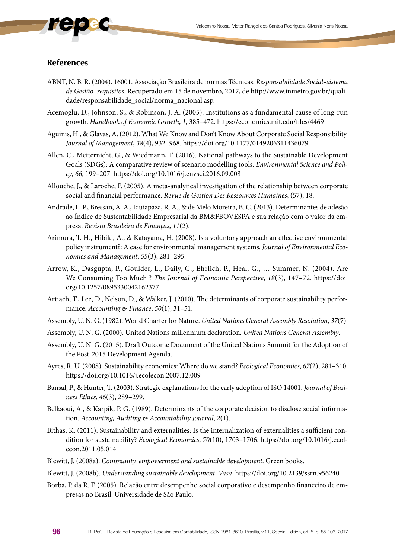# **References**

- ABNT, N. B. R. (2004). 16001. Associação Brasileira de normas Técnicas. *Responsabilidade Social–sistema de Gestão–requisitos*. Recuperado em 15 de novembro, 2017, de http://www.inmetro.gov.br/qualidade/responsabilidade\_social/norma\_nacional.asp.
- Acemoglu, D., Johnson, S., & Robinson, J. A. (2005). Institutions as a fundamental cause of long-run growth. *Handbook of Economic Growth*, *1*, 385–472. https://economics.mit.edu/files/4469
- Aguinis, H., & Glavas, A. (2012). What We Know and Don't Know About Corporate Social Responsibility. *Journal of Management*, *38*(4), 932–968. https://doi.org/10.1177/0149206311436079
- Allen, C., Metternicht, G., & Wiedmann, T. (2016). National pathways to the Sustainable Development Goals (SDGs): A comparative review of scenario modelling tools. *Environmental Science and Policy*, *66*, 199–207. https://doi.org/10.1016/j.envsci.2016.09.008
- Allouche, J., & Laroche, P. (2005). A meta-analytical investigation of the relationship between corporate social and financial performance. *Revue de Gestion Des Ressources Humaines*, (57), 18.
- Andrade, L. P., Bressan, A. A., Iquiapaza, R. A., & de Melo Moreira, B. C. (2013). Determinantes de adesão ao Índice de Sustentabilidade Empresarial da BM&FBOVESPA e sua relação com o valor da empresa. *Revista Brasileira de Finanças*, *11*(2).
- Arimura, T. H., Hibiki, A., & Katayama, H. (2008). Is a voluntary approach an effective environmental policy instrument?: A case for environmental management systems. *Journal of Environmental Economics and Management*, *55*(3), 281–295.
- Arrow, K., Dasgupta, P., Goulder, L., Daily, G., Ehrlich, P., Heal, G., … Summer, N. (2004). Are We Consuming Too Much ? *The Journal of Economic Perspective*, *18*(3), 147–72. https://doi. org/10.1257/0895330042162377
- Artiach, T., Lee, D., Nelson, D., & Walker, J. (2010). The determinants of corporate sustainability performance. *Accounting & Finance*, *50*(1), 31–51.
- Assembly, U. N. G. (1982). World Charter for Nature. *United Nations General Assembly Resolution*, *37*(7).
- Assembly, U. N. G. (2000). United Nations millennium declaration. *United Nations General Assembly*.
- Assembly, U. N. G. (2015). Draft Outcome Document of the United Nations Summit for the Adoption of the Post-2015 Development Agenda.
- Ayres, R. U. (2008). Sustainability economics: Where do we stand? *Ecological Economics*, *67*(2), 281–310. https://doi.org/10.1016/j.ecolecon.2007.12.009
- Bansal, P., & Hunter, T. (2003). Strategic explanations for the early adoption of ISO 14001. *Journal of Business Ethics*, *46*(3), 289–299.
- Belkaoui, A., & Karpik, P. G. (1989). Determinants of the corporate decision to disclose social information. *Accounting, Auditing & Accountability Journal*, *2*(1).
- Bithas, K. (2011). Sustainability and externalities: Is the internalization of externalities a sufficient condition for sustainability? *Ecological Economics*, *70*(10), 1703–1706. https://doi.org/10.1016/j.ecolecon.2011.05.014
- Blewitt, J. (2008a). *Community, empowerment and sustainable development*. Green books.
- Blewitt, J. (2008b). *Understanding sustainable development*. *Vasa*. https://doi.org/10.2139/ssrn.956240
- Borba, P. da R. F. (2005). Relação entre desempenho social corporativo e desempenho financeiro de empresas no Brasil. Universidade de São Paulo.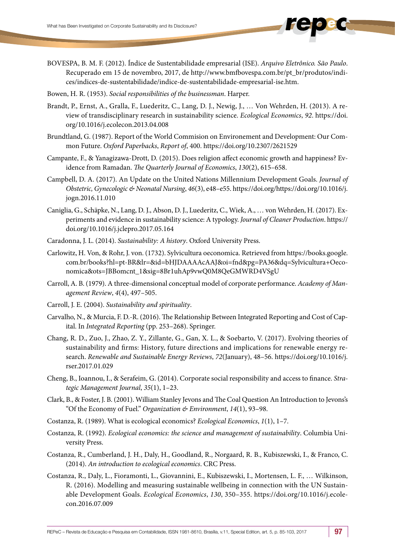- BOVESPA, B. M. F. (2012). Índice de Sustentabilidade empresarial (ISE). *Arquivo Eletrônico. São Paulo*. Recuperado em 15 de novembro, 2017, de http://www.bmfbovespa.com.br/pt\_br/produtos/indices/indices-de-sustentabilidade/indice-de-sustentabilidade-empresarial-ise.htm.
- Bowen, H. R. (1953). *Social responsibilities of the businessman*. Harper.
- Brandt, P., Ernst, A., Gralla, F., Luederitz, C., Lang, D. J., Newig, J., … Von Wehrden, H. (2013). A review of transdisciplinary research in sustainability science. *Ecological Economics*, *92*. https://doi. org/10.1016/j.ecolecon.2013.04.008
- Brundtland, G. (1987). Report of the World Commision on Environement and Development: Our Common Future. *Oxford Paperbacks*, *Report of*, 400. https://doi.org/10.2307/2621529
- Campante, F., & Yanagizawa-Drott, D. (2015). Does religion affect economic growth and happiness? Evidence from Ramadan. *The Quarterly Journal of Economics*, *130*(2), 615–658.
- Campbell, D. A. (2017). An Update on the United Nations Millennium Development Goals. *Journal of Obstetric, Gynecologic & Neonatal Nursing*, *46*(3), e48–e55. https://doi.org/https://doi.org/10.1016/j. jogn.2016.11.010
- Caniglia, G., Schäpke, N., Lang, D. J., Abson, D. J., Luederitz, C., Wiek, A., … von Wehrden, H. (2017). Experiments and evidence in sustainability science: A typology. *Journal of Cleaner Production*. https:// doi.org/10.1016/j.jclepro.2017.05.164
- Caradonna, J. L. (2014). *Sustainability: A history*. Oxford University Press.
- Carlowitz, H. Von, & Rohr, J. von. (1732). Sylvicultura oeconomica. Retrieved from https://books.google. com.br/books?hl=pt-BR&lr=&id=bHJDAAAAcAAJ&oi=fnd&pg=PA36&dq=Sylvicultura+Oeconomica&ots=JBBomcnt\_1&sig=8Br1uhAp9vwQ0M8QeGMWRD4VSgU
- Carroll, A. B. (1979). A three-dimensional conceptual model of corporate performance. *Academy of Management Review*, *4*(4), 497–505.
- Carroll, J. E. (2004). *Sustainability and spirituality*.
- Carvalho, N., & Murcia, F. D.-R. (2016). The Relationship Between Integrated Reporting and Cost of Capital. In *Integrated Reporting* (pp. 253–268). Springer.
- Chang, R. D., Zuo, J., Zhao, Z. Y., Zillante, G., Gan, X. L., & Soebarto, V. (2017). Evolving theories of sustainability and firms: History, future directions and implications for renewable energy research. *Renewable and Sustainable Energy Reviews*, *72*(January), 48–56. https://doi.org/10.1016/j. rser.2017.01.029
- Cheng, B., Ioannou, I., & Serafeim, G. (2014). Corporate social responsibility and access to finance. *Strategic Management Journal*, *35*(1), 1–23.
- Clark, B., & Foster, J. B. (2001). William Stanley Jevons and The Coal Question An Introduction to Jevons's "Of the Economy of Fuel." *Organization & Environment*, *14*(1), 93–98.
- Costanza, R. (1989). What is ecological economics? *Ecological Economics*, *1*(1), 1–7.
- Costanza, R. (1992). *Ecological economics: the science and management of sustainability*. Columbia University Press.
- Costanza, R., Cumberland, J. H., Daly, H., Goodland, R., Norgaard, R. B., Kubiszewski, I., & Franco, C. (2014). *An introduction to ecological economics*. CRC Press.
- Costanza, R., Daly, L., Fioramonti, L., Giovannini, E., Kubiszewski, I., Mortensen, L. F., … Wilkinson, R. (2016). Modelling and measuring sustainable wellbeing in connection with the UN Sustainable Development Goals. *Ecological Economics*, *130*, 350–355. https://doi.org/10.1016/j.ecolecon.2016.07.009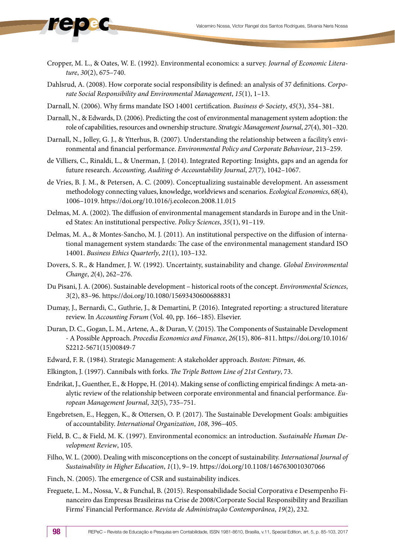- Cropper, M. L., & Oates, W. E. (1992). Environmental economics: a survey. *Journal of Economic Literature*, *30*(2), 675–740.
- Dahlsrud, A. (2008). How corporate social responsibility is defined: an analysis of 37 definitions. *Corporate Social Responsibility and Environmental Management*, *15*(1), 1–13.
- Darnall, N. (2006). Why firms mandate ISO 14001 certification. *Business & Society*, *45*(3), 354–381.
- Darnall, N., & Edwards, D. (2006). Predicting the cost of environmental management system adoption: the role of capabilities, resources and ownership structure. *Strategic Management Journal*, *27*(4), 301–320.
- Darnall, N., Jolley, G. J., & Ytterhus, B. (2007). Understanding the relationship between a facility's environmental and financial performance. *Environmental Policy and Corporate Behaviour*, 213–259.
- de Villiers, C., Rinaldi, L., & Unerman, J. (2014). Integrated Reporting: Insights, gaps and an agenda for future research. *Accounting, Auditing & Accountability Journal*, *27*(7), 1042–1067.
- de Vries, B. J. M., & Petersen, A. C. (2009). Conceptualizing sustainable development. An assessment methodology connecting values, knowledge, worldviews and scenarios. *Ecological Economics*, *68*(4), 1006–1019. https://doi.org/10.1016/j.ecolecon.2008.11.015
- Delmas, M. A. (2002). The diffusion of environmental management standards in Europe and in the United States: An institutional perspective. *Policy Sciences*, *35*(1), 91–119.
- Delmas, M. A., & Montes-Sancho, M. J. (2011). An institutional perspective on the diffusion of international management system standards: The case of the environmental management standard ISO 14001. *Business Ethics Quarterly*, *21*(1), 103–132.
- Dovers, S. R., & Handmer, J. W. (1992). Uncertainty, sustainability and change. *Global Environmental Change*, *2*(4), 262–276.
- Du Pisani, J. A. (2006). Sustainable development historical roots of the concept. *Environmental Sciences*, *3*(2), 83–96. https://doi.org/10.1080/15693430600688831
- Dumay, J., Bernardi, C., Guthrie, J., & Demartini, P. (2016). Integrated reporting: a structured literature review. In *Accounting Forum* (Vol. 40, pp. 166–185). Elsevier.
- Duran, D. C., Gogan, L. M., Artene, A., & Duran, V. (2015). The Components of Sustainable Development - A Possible Approach. *Procedia Economics and Finance*, *26*(15), 806–811. https://doi.org/10.1016/ S2212-5671(15)00849-7
- Edward, F. R. (1984). Strategic Management: A stakeholder approach. *Boston: Pitman*, *46*.
- Elkington, J. (1997). Cannibals with forks. *The Triple Bottom Line of 21st Century*, 73.
- Endrikat, J., Guenther, E., & Hoppe, H. (2014). Making sense of conflicting empirical findings: A meta-analytic review of the relationship between corporate environmental and financial performance. *European Management Journal*, *32*(5), 735–751.
- Engebretsen, E., Heggen, K., & Ottersen, O. P. (2017). The Sustainable Development Goals: ambiguities of accountability. *International Organization*, *108*, 396–405.
- Field, B. C., & Field, M. K. (1997). Environmental economics: an introduction. *Sustainable Human Development Review*, 105.
- Filho, W. L. (2000). Dealing with misconceptions on the concept of sustainability. *International Journal of Sustainability in Higher Education*, *1*(1), 9–19. https://doi.org/10.1108/1467630010307066
- Finch, N. (2005). The emergence of CSR and sustainability indices.
- Freguete, L. M., Nossa, V., & Funchal, B. (2015). Responsabilidade Social Corporativa e Desempenho Financeiro das Empresas Brasileiras na Crise de 2008/Corporate Social Responsibility and Brazilian Firms' Financial Performance. *Revista de Administração Contemporânea*, *19*(2), 232.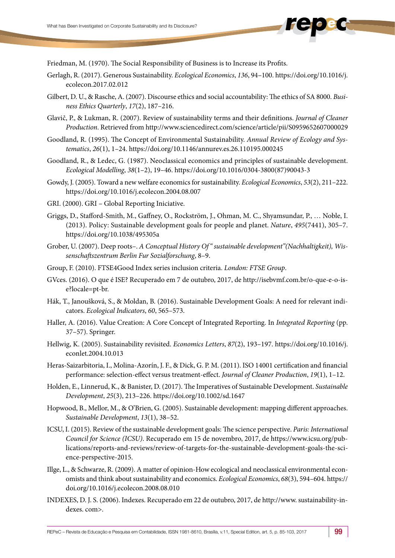Friedman, M. (1970). The Social Responsibility of Business is to Increase its Profits.

- Gerlagh, R. (2017). Generous Sustainability. *Ecological Economics*, *136*, 94–100. https://doi.org/10.1016/j. ecolecon.2017.02.012
- Gilbert, D. U., & Rasche, A. (2007). Discourse ethics and social accountability: The ethics of SA 8000. *Business Ethics Quarterly*, *17*(2), 187–216.
- Glavič, P., & Lukman, R. (2007). Review of sustainability terms and their definitions. *Journal of Cleaner Production*. Retrieved from http://www.sciencedirect.com/science/article/pii/S0959652607000029
- Goodland, R. (1995). The Concept of Environmental Sustainability. *Annual Review of Ecology and Systematics*, *26*(1), 1–24. https://doi.org/10.1146/annurev.es.26.110195.000245
- Goodland, R., & Ledec, G. (1987). Neoclassical economics and principles of sustainable development. *Ecological Modelling*, *38*(1–2), 19–46. https://doi.org/10.1016/0304-3800(87)90043-3
- Gowdy, J. (2005). Toward a new welfare economics for sustainability. *Ecological Economics*, *53*(2), 211–222. https://doi.org/10.1016/j.ecolecon.2004.08.007
- GRI. (2000). GRI Global Reporting Iniciative.
- Griggs, D., Stafford-Smith, M., Gaffney, O., Rockström, J., Ohman, M. C., Shyamsundar, P., … Noble, I. (2013). Policy: Sustainable development goals for people and planet. *Nature*, *495*(7441), 305–7. https://doi.org/10.1038/495305a
- Grober, U. (2007). Deep roots–. *A Conceptual History Of " sustainable development"(Nachhaltigkeit), Wissenschaftszentrum Berlin Fur Sozialforschung*, 8–9.
- Group, F. (2010). FTSE4Good Index series inclusion criteria. *London: FTSE Group*.
- GVces. (2016). O que é ISE? Recuperado em 7 de outubro, 2017, de http://isebvmf.com.br/o-que-e-o-ise?locale=pt-br.
- Hák, T., Janoušková, S., & Moldan, B. (2016). Sustainable Development Goals: A need for relevant indicators. *Ecological Indicators*, *60*, 565–573.
- Haller, A. (2016). Value Creation: A Core Concept of Integrated Reporting. In *Integrated Reporting* (pp. 37–57). Springer.
- Hellwig, K. (2005). Sustainability revisited. *Economics Letters*, *87*(2), 193–197. https://doi.org/10.1016/j. econlet.2004.10.013
- Heras-Saizarbitoria, I., Molina-Azorín, J. F., & Dick, G. P. M. (2011). ISO 14001 certification and financial performance: selection-effect versus treatment-effect. *Journal of Cleaner Production*, *19*(1), 1–12.
- Holden, E., Linnerud, K., & Banister, D. (2017). The Imperatives of Sustainable Development. *Sustainable Development*, *25*(3), 213–226. https://doi.org/10.1002/sd.1647
- Hopwood, B., Mellor, M., & O'Brien, G. (2005). Sustainable development: mapping different approaches. *Sustainable Development*, *13*(1), 38–52.
- ICSU, I. (2015). Review of the sustainable development goals: The science perspective. *Paris: International Council for Science (ICSU)*. Recuperado em 15 de novembro, 2017, de https://www.icsu.org/publications/reports-and-reviews/review-of-targets-for-the-sustainable-development-goals-the-science-perspective-2015.
- Illge, L., & Schwarze, R. (2009). A matter of opinion-How ecological and neoclassical environmental economists and think about sustainability and economics. *Ecological Economics*, *68*(3), 594–604. https:// doi.org/10.1016/j.ecolecon.2008.08.010
- INDEXES, D. J. S. (2006). Indexes. Recuperado em 22 de outubro, 2017, de http://www. sustainability-indexes. com>.

REPeC – Revista de Educação e Pesquisa em Contabilidade, ISSN 1981-8610, Brasília, v.11, Special Edition, art. 5, p. 85-103, 2017 99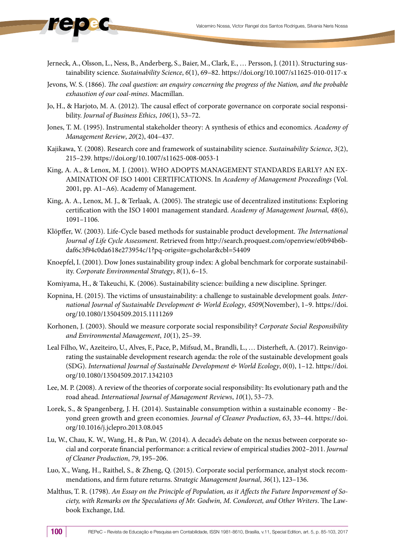- Jerneck, A., Olsson, L., Ness, B., Anderberg, S., Baier, M., Clark, E., … Persson, J. (2011). Structuring sustainability science. *Sustainability Science*, *6*(1), 69–82. https://doi.org/10.1007/s11625-010-0117-x
- Jevons, W. S. (1866). *The coal question: an enquiry concerning the progress of the Nation, and the probable exhaustion of our coal-mines*. Macmillan.
- Jo, H., & Harjoto, M. A. (2012). The causal effect of corporate governance on corporate social responsibility. *Journal of Business Ethics*, *106*(1), 53–72.
- Jones, T. M. (1995). Instrumental stakeholder theory: A synthesis of ethics and economics. *Academy of Management Review*, *20*(2), 404–437.
- Kajikawa, Y. (2008). Research core and framework of sustainability science. *Sustainability Science*, *3*(2), 215–239. https://doi.org/10.1007/s11625-008-0053-1
- King, A. A., & Lenox, M. J. (2001). WHO ADOPTS MANAGEMENT STANDARDS EARLY? AN EX-AMINATION OF ISO 14001 CERTIFICATIONS. In *Academy of Management Proceedings* (Vol. 2001, pp. A1–A6). Academy of Management.
- King, A. A., Lenox, M. J., & Terlaak, A. (2005). The strategic use of decentralized institutions: Exploring certification with the ISO 14001 management standard. *Academy of Management Journal*, *48*(6), 1091–1106.
- Klöpffer, W. (2003). Life-Cycle based methods for sustainable product development. *The International Journal of Life Cycle Assessment*. Retrieved from http://search.proquest.com/openview/e0b94b6bdaf6c3f94c0da618e273954c/1?pq-origsite=gscholar&cbl=54409
- Knoepfel, I. (2001). Dow Jones sustainability group index: A global benchmark for corporate sustainability. *Corporate Environmental Strategy*, *8*(1), 6–15.
- Komiyama, H., & Takeuchi, K. (2006). Sustainability science: building a new discipline. Springer.
- Kopnina, H. (2015). The victims of unsustainability: a challenge to sustainable development goals. *International Journal of Sustainable Development & World Ecology*, *4509*(November), 1–9. https://doi. org/10.1080/13504509.2015.1111269
- Korhonen, J. (2003). Should we measure corporate social responsibility? *Corporate Social Responsibility and Environmental Management*, *10*(1), 25–39.
- Leal Filho, W., Azeiteiro, U., Alves, F., Pace, P., Mifsud, M., Brandli, L., … Disterheft, A. (2017). Reinvigorating the sustainable development research agenda: the role of the sustainable development goals (SDG). *International Journal of Sustainable Development & World Ecology*, *0*(0), 1–12. https://doi. org/10.1080/13504509.2017.1342103
- Lee, M. P. (2008). A review of the theories of corporate social responsibility: Its evolutionary path and the road ahead. *International Journal of Management Reviews*, *10*(1), 53–73.
- Lorek, S., & Spangenberg, J. H. (2014). Sustainable consumption within a sustainable economy Beyond green growth and green economies. *Journal of Cleaner Production*, *63*, 33–44. https://doi. org/10.1016/j.jclepro.2013.08.045
- Lu, W., Chau, K. W., Wang, H., & Pan, W. (2014). A decade's debate on the nexus between corporate social and corporate financial performance: a critical review of empirical studies 2002–2011. *Journal of Cleaner Production*, *79*, 195–206.
- Luo, X., Wang, H., Raithel, S., & Zheng, Q. (2015). Corporate social performance, analyst stock recommendations, and firm future returns. *Strategic Management Journal*, *36*(1), 123–136.
- Malthus, T. R. (1798). *An Essay on the Principle of Population, as it Affects the Future Imporvement of Society, with Remarks on the Speculations of Mr. Godwin, M. Condorcet, and Other Writers*. The Lawbook Exchange, Ltd.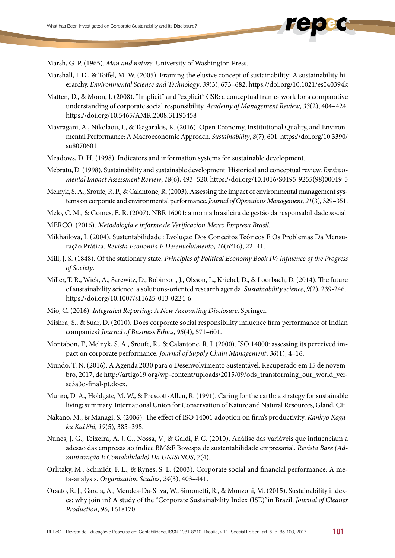Marsh, G. P. (1965). *Man and nature*. University of Washington Press.

- Marshall, J. D., & Toffel, M. W. (2005). Framing the elusive concept of sustainability: A sustainability hierarchy. *Environmental Science and Technology*, *39*(3), 673–682. https://doi.org/10.1021/es040394k
- Matten, D., & Moon, J. (2008). "Implicit" and "explicit" CSR: a conceptual frame- work for a comparative understanding of corporate social responsibility. *Academy of Management Review*, *33*(2), 404–424. https://doi.org/10.5465/AMR.2008.31193458
- Mavragani, A., Nikolaou, I., & Tsagarakis, K. (2016). Open Economy, Institutional Quality, and Environmental Performance: A Macroeconomic Approach. *Sustainability*, *8*(7), 601. https://doi.org/10.3390/ su8070601
- Meadows, D. H. (1998). Indicators and information systems for sustainable development.
- Mebratu, D. (1998). Sustainability and sustainable development: Historical and conceptual review. *Environmental Impact Assessment Review*, *18*(6), 493–520. https://doi.org/10.1016/S0195-9255(98)00019-5
- Melnyk, S. A., Sroufe, R. P., & Calantone, R. (2003). Assessing the impact of environmental management systems on corporate and environmental performance. *Journal of Operations Management*, *21*(3), 329–351.
- Melo, C. M., & Gomes, E. R. (2007). NBR 16001: a norma brasileira de gestão da responsabilidade social.
- MERCO. (2016). *Metodologia e informe de Verificacion Merco Empresa Brasil*.
- Mikhailova, I. (2004). Sustentabilidade : Evolução Dos Conceitos Teóricos E Os Problemas Da Mensuração Prática. *Revista Economia E Desenvolvimento*, *16*(n°16), 22–41.
- Mill, J. S. (1848). Of the stationary state. *Principles of Political Economy Book IV: Influence of the Progress of Society*.
- Miller, T. R., Wiek, A., Sarewitz, D., Robinson, J., Olsson, L., Kriebel, D., & Loorbach, D. (2014). The future of sustainability science: a solutions-oriented research agenda. *Sustainability science*, *9*(2), 239-246.. https://doi.org/10.1007/s11625-013-0224-6
- Mio, C. (2016). *Integrated Reporting: A New Accounting Disclosure*. Springer.
- Mishra, S., & Suar, D. (2010). Does corporate social responsibility influence firm performance of Indian companies? *Journal of Business Ethics*, *95*(4), 571–601.
- Montabon, F., Melnyk, S. A., Sroufe, R., & Calantone, R. J. (2000). ISO 14000: assessing its perceived impact on corporate performance. *Journal of Supply Chain Management*, *36*(1), 4–16.
- Mundo, T. N. (2016). A Agenda 2030 para o Desenvolvimento Sustentável. Recuperado em 15 de novembro, 2017, de http://artigo19.org/wp-content/uploads/2015/09/ods\_transforming\_our\_world\_versc3a3o-final-pt.docx.
- Munro, D. A., Holdgate, M. W., & Prescott-Allen, R. (1991). Caring for the earth: a strategy for sustainable living; summary. International Union for Conservation of Nature and Natural Resources, Gland, CH.
- Nakano, M., & Managi, S. (2006). The effect of ISO 14001 adoption on firm's productivity. *Kankyo Kagaku Kai Shi*, *19*(5), 385–395.
- Nunes, J. G., Teixeira, A. J. C., Nossa, V., & Galdi, F. C. (2010). Análise das variáveis que influenciam a adesão das empresas ao índice BM&F Bovespa de sustentabilidade empresarial. *Revista Base (Administração E Contabilidade) Da UNISINOS*, *7*(4).
- Orlitzky, M., Schmidt, F. L., & Rynes, S. L. (2003). Corporate social and financial performance: A meta-analysis. *Organization Studies*, *24*(3), 403–441.
- Orsato, R. J., Garcia, A., Mendes-Da-Silva, W., Simonetti, R., & Monzoni, M. (2015). Sustainability indexes: why join in? A study of the "Corporate Sustainability Index (ISE)"in Brazil. *Journal of Cleaner Production*, *96*, 161e170.

REPeC – Revista de Educação e Pesquisa em Contabilidade, ISSN 1981-8610, Brasília, v.11, Special Edition, art. 5, p. 85-103, 2017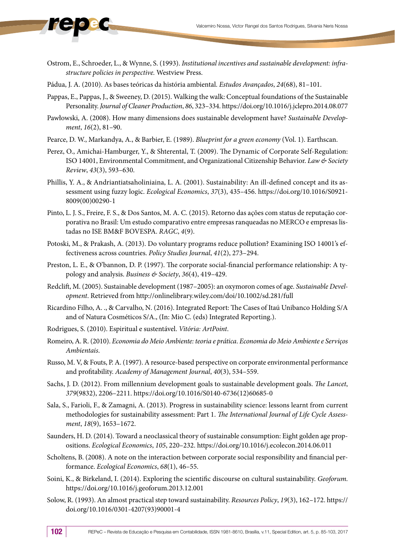- Ostrom, E., Schroeder, L., & Wynne, S. (1993). *Institutional incentives and sustainable development: infrastructure policies in perspective.* Westview Press.
- Pádua, J. A. (2010). As bases teóricas da história ambiental. *Estudos Avançados*, *24*(68), 81–101.
- Pappas, E., Pappas, J., & Sweeney, D. (2015). Walking the walk: Conceptual foundations of the Sustainable Personality. *Journal of Cleaner Production*, *86*, 323–334. https://doi.org/10.1016/j.jclepro.2014.08.077
- Pawłowski, A. (2008). How many dimensions does sustainable development have? *Sustainable Development*, *16*(2), 81–90.
- Pearce, D. W., Markandya, A., & Barbier, E. (1989). *Blueprint for a green economy* (Vol. 1). Earthscan.
- Perez, O., Amichai-Hamburger, Y., & Shterental, T. (2009). The Dynamic of Corporate Self-Regulation: ISO 14001, Environmental Commitment, and Organizational Citizenship Behavior. *Law & Society Review*, *43*(3), 593–630.
- Phillis, Y. A., & Andriantiatsaholiniaina, L. A. (2001). Sustainability: An ill-defined concept and its assessment using fuzzy logic. *Ecological Economics*, *37*(3), 435–456. https://doi.org/10.1016/S0921- 8009(00)00290-1
- Pinto, L. J. S., Freire, F. S., & Dos Santos, M. A. C. (2015). Retorno das ações com status de reputação corporativa no Brasil: Um estudo comparativo entre empresas ranqueadas no MERCO e empresas listadas no ISE BM&F BOVESPA. *RAGC*, *4*(9).
- Potoski, M., & Prakash, A. (2013). Do voluntary programs reduce pollution? Examining ISO 14001's effectiveness across countries. *Policy Studies Journal*, *41*(2), 273–294.
- Preston, L. E., & O'bannon, D. P. (1997). The corporate social-financial performance relationship: A typology and analysis. *Business & Society*, *36*(4), 419–429.
- Redclift, M. (2005). Sustainable development (1987–2005): an oxymoron comes of age. *Sustainable Development*. Retrieved from http://onlinelibrary.wiley.com/doi/10.1002/sd.281/full
- Ricardino Filho, A. ., & Carvalho, N. (2016). Integrated Report: The Cases of Itaú Unibanco Holding S/A and of Natura Cosméticos S/A., (In: Mio C. (eds) Integrated Reporting.).
- Rodrigues, S. (2010). Espiritual e sustentável. *Vitória: ArtPoint*.
- Romeiro, A. R. (2010). *Economia do Meio Ambiente: teoria e prática*. *Economia do Meio Ambiente e Serviços Ambientais*.
- Russo, M. V, & Fouts, P. A. (1997). A resource-based perspective on corporate environmental performance and profitability. *Academy of Management Journal*, *40*(3), 534–559.
- Sachs, J. D. (2012). From millennium development goals to sustainable development goals. *The Lancet*, *379*(9832), 2206–2211. https://doi.org/10.1016/S0140-6736(12)60685-0
- Sala, S., Farioli, F., & Zamagni, A. (2013). Progress in sustainability science: lessons learnt from current methodologies for sustainability assessment: Part 1. *The International Journal of Life Cycle Assessment*, *18*(9), 1653–1672.
- Saunders, H. D. (2014). Toward a neoclassical theory of sustainable consumption: Eight golden age propositions. *Ecological Economics*, *105*, 220–232. https://doi.org/10.1016/j.ecolecon.2014.06.011
- Scholtens, B. (2008). A note on the interaction between corporate social responsibility and financial performance. *Ecological Economics*, *68*(1), 46–55.
- Soini, K., & Birkeland, I. (2014). Exploring the scientific discourse on cultural sustainability. *Geoforum*. https://doi.org/10.1016/j.geoforum.2013.12.001
- Solow, R. (1993). An almost practical step toward sustainability. *Resources Policy*, *19*(3), 162–172. https:// doi.org/10.1016/0301-4207(93)90001-4